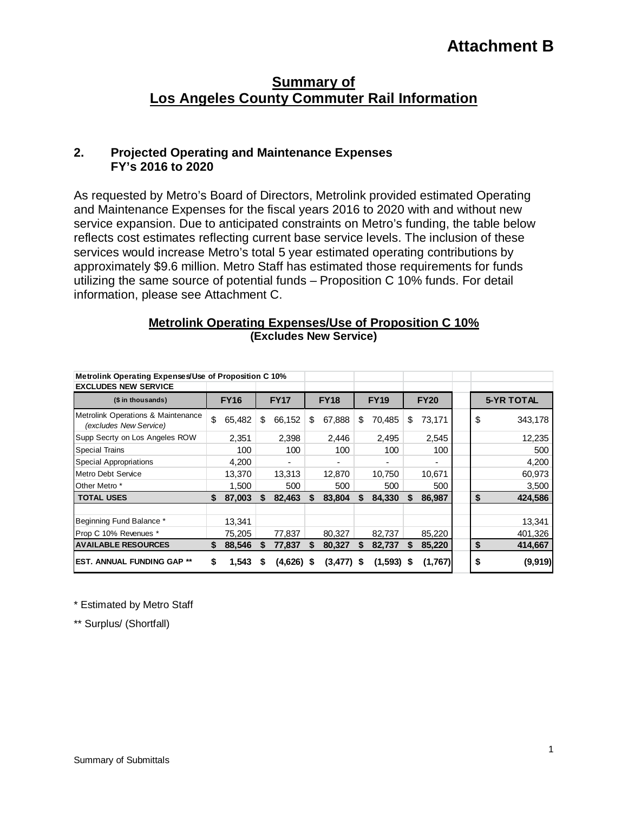# **Attachment B**

# **Summary of Los Angeles County Commuter Rail Information**

#### **2. Projected Operating and Maintenance Expenses FY's 2016 to 2020**

As requested by Metro's Board of Directors, Metrolink provided estimated Operating and Maintenance Expenses for the fiscal years 2016 to 2020 with and without new service expansion. Due to anticipated constraints on Metro's funding, the table below reflects cost estimates reflecting current base service levels. The inclusion of these services would increase Metro's total 5 year estimated operating contributions by approximately \$9.6 million. Metro Staff has estimated those requirements for funds utilizing the same source of potential funds – Proposition C 10% funds. For detail information, please see Attachment C.

#### **Metrolink Operating Expenses/Use of Proposition C 10% (Excludes New Service)**

| Metrolink Operating Expenses/Use of Proposition C 10%        |             |        |             |            |             |              |             |         |             |         |  |    |                   |  |
|--------------------------------------------------------------|-------------|--------|-------------|------------|-------------|--------------|-------------|---------|-------------|---------|--|----|-------------------|--|
| <b>EXCLUDES NEW SERVICE</b>                                  |             |        |             |            |             |              |             |         |             |         |  |    |                   |  |
| (\$ in thousands)                                            | <b>FY16</b> |        | <b>FY17</b> |            | <b>FY18</b> |              | <b>FY19</b> |         | <b>FY20</b> |         |  |    | <b>5-YR TOTAL</b> |  |
| Metrolink Operations & Maintenance<br>(excludes New Service) | \$          | 65,482 | S           | 66,152     | \$          | 67,888       | \$          | 70,485  | S           | 73,171  |  | \$ | 343,178           |  |
| Supp Secrty on Los Angeles ROW                               |             | 2,351  |             | 2,398      |             | 2,446        |             | 2,495   |             | 2,545   |  |    | 12,235            |  |
| <b>Special Trains</b>                                        |             | 100    |             | 100        |             | 100          |             | 100     |             | 100     |  |    | 500               |  |
| Special Appropriations                                       |             | 4,200  |             | ٠          |             | ۰            |             | ۰       |             | ٠       |  |    | 4,200             |  |
| Metro Debt Service                                           |             | 13,370 |             | 13,313     |             | 12,870       |             | 10,750  |             | 10,671  |  |    | 60,973            |  |
| Other Metro *                                                |             | 1,500  |             | 500        |             | 500          |             | 500     |             | 500     |  |    | 3,500             |  |
| <b>TOTAL USES</b>                                            |             | 87,003 | S           | 82,463     | S           | 83,804       |             | 84,330  | S           | 86,987  |  | \$ | 424,586           |  |
| Beginning Fund Balance *                                     |             | 13,341 |             |            |             |              |             |         |             |         |  |    | 13,341            |  |
| Prop C 10% Revenues *                                        |             | 75,205 |             | 77,837     |             | 80,327       |             | 82,737  |             | 85,220  |  |    | 401,326           |  |
| <b>AVAILABLE RESOURCES</b>                                   | S.          | 88,546 | S           | 77,837     | S           | 80,327       | S           | 82,737  | S           | 85,220  |  | \$ | 414,667           |  |
| <b>EST. ANNUAL FUNDING GAP **</b>                            | \$          | 1,543  | S           | (4,626) \$ |             | $(3,477)$ \$ |             | (1,593) | S           | (1,767) |  | \$ | (9,919)           |  |

\* Estimated by Metro Staff

\*\* Surplus/ (Shortfall)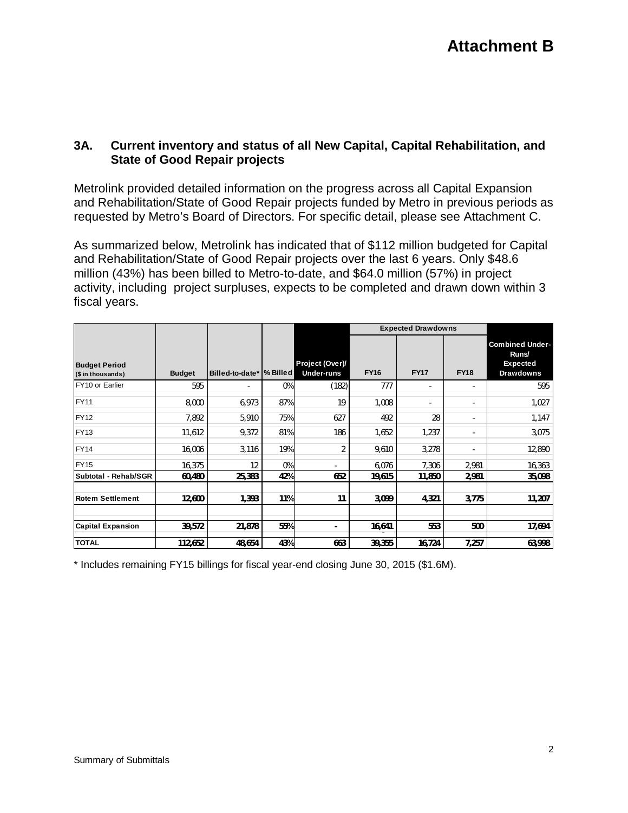### **3A. Current inventory and status of all New Capital, Capital Rehabilitation, and State of Good Repair projects**

Metrolink provided detailed information on the progress across all Capital Expansion and Rehabilitation/State of Good Repair projects funded by Metro in previous periods as requested by Metro's Board of Directors. For specific detail, please see Attachment C.

As summarized below, Metrolink has indicated that of \$112 million budgeted for Capital and Rehabilitation/State of Good Repair projects over the last 6 years. Only \$48.6 million (43%) has been billed to Metro-to-date, and \$64.0 million (57%) in project activity, including project surpluses, expects to be completed and drawn down within 3 fiscal years.

|                                           |               |                           |     |                                      |             | <b>Expected Drawdowns</b> |                              |                                                                        |  |
|-------------------------------------------|---------------|---------------------------|-----|--------------------------------------|-------------|---------------------------|------------------------------|------------------------------------------------------------------------|--|
| <b>Budget Period</b><br>(\$ in thousands) | <b>Budget</b> | Billed-to-date*  % Billed |     | Project (Over)/<br><b>Under-runs</b> | <b>FY16</b> | <b>FY17</b>               | <b>FY18</b>                  | <b>Combined Under-</b><br>Runs/<br><b>Expected</b><br><b>Drawdowns</b> |  |
| FY10 or Earlier                           | 595           | ٠                         | 0%  | (182)                                | 777         | ٠                         | $\overline{\phantom{a}}$     | 595                                                                    |  |
| <b>FY11</b>                               | 8,000         | 6,973                     | 87% | 19                                   | 1,008       | ٠                         | -                            | 1,027                                                                  |  |
| <b>FY12</b>                               | 7,892         | 5,910                     | 75% | 627                                  | 492         | 28                        | $\qquad \qquad \blacksquare$ | 1,147                                                                  |  |
| <b>FY13</b>                               | 11,612        | 9,372                     | 81% | 186                                  | 1,652       | 1,237                     | $\overline{\phantom{a}}$     | 3,075                                                                  |  |
| <b>FY14</b>                               | 16,006        | 3,116                     | 19% | $\overline{2}$                       | 9,610       | 3,278                     | ٠                            | 12,890                                                                 |  |
| <b>FY15</b>                               | 16,375        | 12                        | 0%  |                                      | 6,076       | 7,306                     | 2,981                        | 16,363                                                                 |  |
| Subtotal - Rehab/SGR                      | 60,480        | 25,383                    | 42% | 652                                  | 19,615      | 11,850                    | 2,981                        | 35,098                                                                 |  |
| <b>Rotem Settlement</b>                   | 12,600        | 1,393                     | 11% | 11                                   | 3,099       | 4,321                     | 3,775                        | 11,207                                                                 |  |
| <b>Capital Expansion</b>                  | 39,572        | 21,878                    | 55% |                                      | 16,641      | 553                       | 500                          | 17,694                                                                 |  |
| <b>TOTAL</b>                              | 112,652       | 48,654                    | 43% | 663                                  | 39,355      | 16,724                    | 7,257                        | 63,998                                                                 |  |

\* Includes remaining FY15 billings for fiscal year-end closing June 30, 2015 (\$1.6M).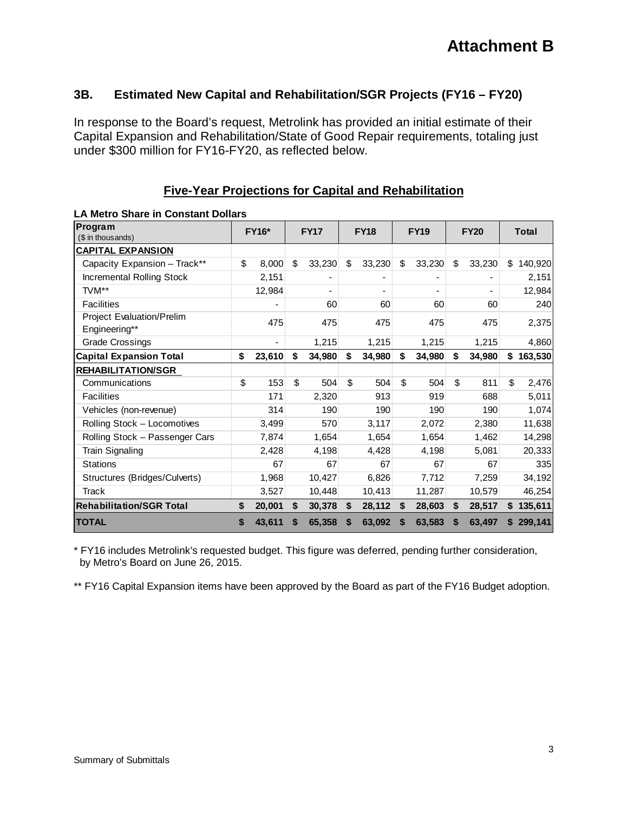#### **3B. Estimated New Capital and Rehabilitation/SGR Projects (FY16 – FY20)**

In response to the Board's request, Metrolink has provided an initial estimate of their Capital Expansion and Rehabilitation/State of Good Repair requirements, totaling just under \$300 million for FY16-FY20, as reflected below.

| <b>LA Metro Share in Constant Dollars</b>         |              |        |             |        |             |        |             |        |    |             |              |         |  |
|---------------------------------------------------|--------------|--------|-------------|--------|-------------|--------|-------------|--------|----|-------------|--------------|---------|--|
| Program<br>(\$ in thousands)                      | <b>FY16*</b> |        | <b>FY17</b> |        | <b>FY18</b> |        | <b>FY19</b> |        |    | <b>FY20</b> | <b>Total</b> |         |  |
| <b>CAPITAL EXPANSION</b>                          |              |        |             |        |             |        |             |        |    |             |              |         |  |
|                                                   |              |        |             |        |             |        |             |        |    |             |              |         |  |
| Capacity Expansion - Track**                      | \$           | 8,000  | \$          | 33,230 | \$          | 33,230 | \$          | 33,230 | \$ | 33,230      | \$.          | 140,920 |  |
| <b>Incremental Rolling Stock</b>                  |              | 2,151  |             |        |             |        |             |        |    |             |              | 2,151   |  |
| TVM**                                             |              | 12,984 |             |        |             | ٠      |             |        |    |             |              | 12,984  |  |
| <b>Facilities</b>                                 |              |        |             | 60     |             | 60     |             | 60     |    | 60          |              | 240     |  |
| <b>Project Evaluation/Prelim</b><br>Engineering** |              | 475    |             | 475    |             | 475    |             | 475    |    | 475         |              | 2,375   |  |
| <b>Grade Crossings</b>                            |              |        |             | 1,215  |             | 1,215  |             | 1,215  |    | 1,215       |              | 4,860   |  |
| <b>Capital Expansion Total</b>                    | \$           | 23,610 | \$          | 34,980 | \$          | 34,980 | \$          | 34,980 | \$ | 34,980      | \$           | 163,530 |  |
| <b>REHABILITATION/SGR</b>                         |              |        |             |        |             |        |             |        |    |             |              |         |  |
| Communications                                    | \$           | 153    | \$          | 504    | \$          | 504    | \$          | 504    | \$ | 811         | \$           | 2,476   |  |
| <b>Facilities</b>                                 |              | 171    |             | 2,320  |             | 913    |             | 919    |    | 688         |              | 5,011   |  |
| Vehicles (non-revenue)                            |              | 314    |             | 190    |             | 190    |             | 190    |    | 190         |              | 1,074   |  |
| Rolling Stock - Locomotives                       |              | 3,499  |             | 570    |             | 3,117  |             | 2,072  |    | 2,380       |              | 11,638  |  |
| Rolling Stock - Passenger Cars                    |              | 7,874  |             | 1,654  |             | 1,654  |             | 1,654  |    | 1,462       |              | 14,298  |  |
| <b>Train Signaling</b>                            |              | 2,428  |             | 4,198  |             | 4,428  |             | 4,198  |    | 5,081       |              | 20,333  |  |
| <b>Stations</b>                                   |              | 67     |             | 67     |             | 67     |             | 67     |    | 67          |              | 335     |  |
| Structures (Bridges/Culverts)                     |              | 1,968  |             | 10,427 |             | 6,826  |             | 7,712  |    | 7,259       |              | 34,192  |  |
| Track                                             |              | 3,527  |             | 10,448 |             | 10,413 |             | 11,287 |    | 10,579      |              | 46,254  |  |
| <b>Rehabilitation/SGR Total</b>                   | \$           | 20,001 | \$          | 30,378 | \$          | 28,112 | \$          | 28,603 | \$ | 28,517      | S.           | 135,611 |  |
| <b>TOTAL</b>                                      | \$           | 43,611 | \$          | 65,358 | S           | 63,092 | S           | 63,583 | S  | 63,497      |              | 299,141 |  |

**Five-Year Projections for Capital and Rehabilitation**

\* FY16 includes Metrolink's requested budget. This figure was deferred, pending further consideration, by Metro's Board on June 26, 2015.

\*\* FY16 Capital Expansion items have been approved by the Board as part of the FY16 Budget adoption.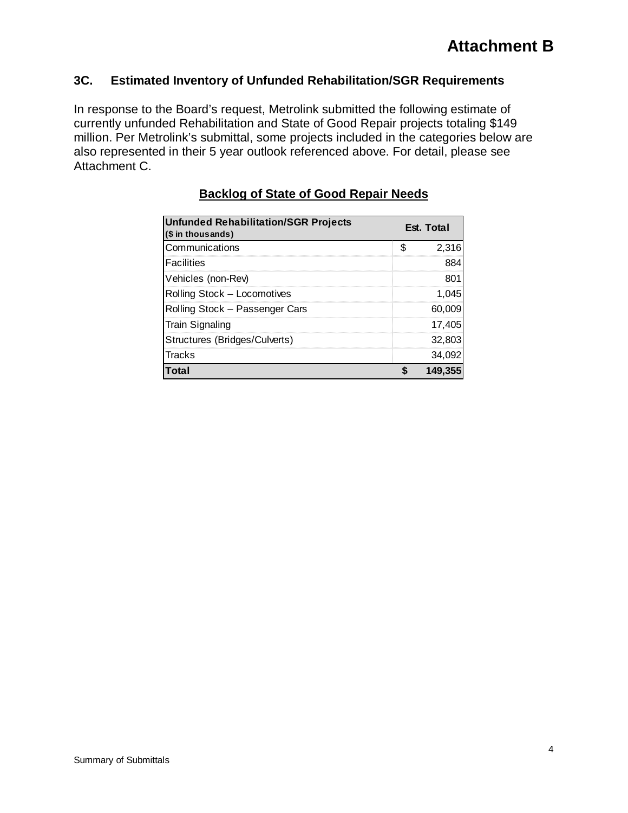# **3C. Estimated Inventory of Unfunded Rehabilitation/SGR Requirements**

In response to the Board's request, Metrolink submitted the following estimate of currently unfunded Rehabilitation and State of Good Repair projects totaling \$149 million. Per Metrolink's submittal, some projects included in the categories below are also represented in their 5 year outlook referenced above. For detail, please see Attachment C.

| <b>Unfunded Rehabilitation/SGR Projects</b><br>(\$ in thousands) | Est. Total  |
|------------------------------------------------------------------|-------------|
| Communications                                                   | \$<br>2,316 |
| <b>Facilities</b>                                                | 884         |
| Vehicles (non-Rev)                                               | 801         |
| Rolling Stock - Locomotives                                      | 1,045       |
| Rolling Stock - Passenger Cars                                   | 60,009      |
| <b>Train Signaling</b>                                           | 17,405      |
| Structures (Bridges/Culverts)                                    | 32,803      |
| <b>Tracks</b>                                                    | 34,092      |
| Total                                                            | 149.355     |

# **Backlog of State of Good Repair Needs**